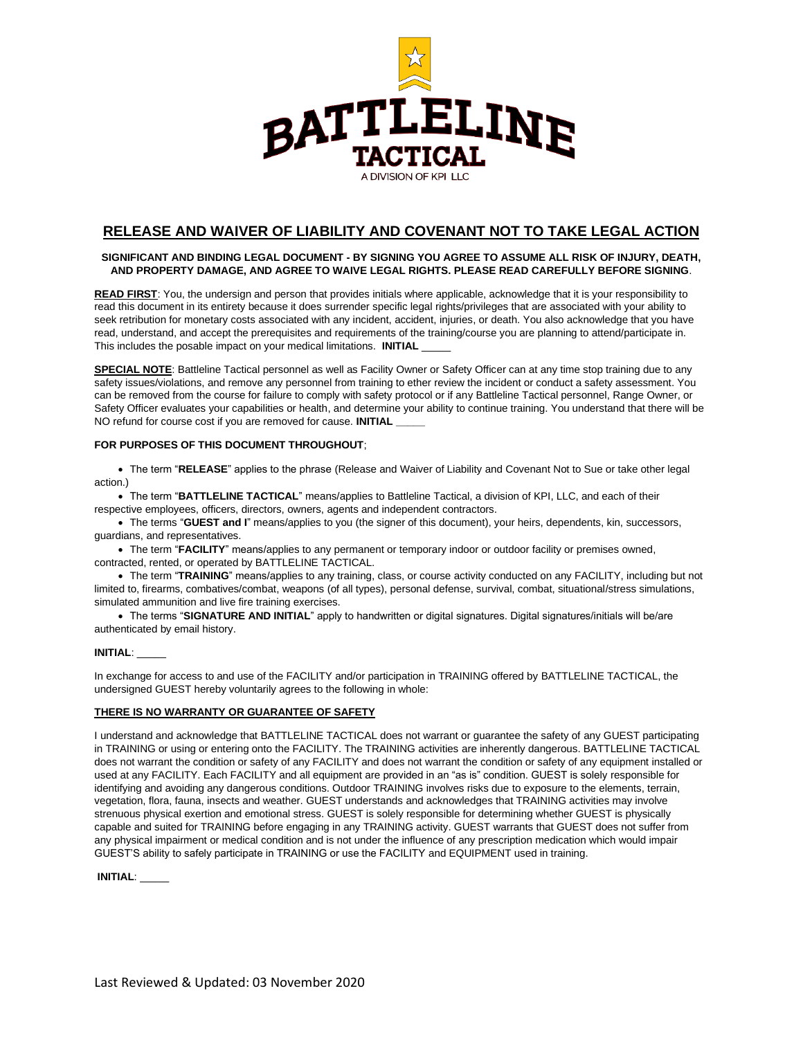

## **RELEASE AND WAIVER OF LIABILITY AND COVENANT NOT TO TAKE LEGAL ACTION**

#### **SIGNIFICANT AND BINDING LEGAL DOCUMENT - BY SIGNING YOU AGREE TO ASSUME ALL RISK OF INJURY, DEATH, AND PROPERTY DAMAGE, AND AGREE TO WAIVE LEGAL RIGHTS. PLEASE READ CAREFULLY BEFORE SIGNING**.

**READ FIRST**: You, the undersign and person that provides initials where applicable, acknowledge that it is your responsibility to read this document in its entirety because it does surrender specific legal rights/privileges that are associated with your ability to seek retribution for monetary costs associated with any incident, accident, injuries, or death. You also acknowledge that you have read, understand, and accept the prerequisites and requirements of the training/course you are planning to attend/participate in. This includes the posable impact on your medical limitations. **INITIAL** \_\_\_\_\_

**SPECIAL NOTE**: Battleline Tactical personnel as well as Facility Owner or Safety Officer can at any time stop training due to any safety issues/violations, and remove any personnel from training to ether review the incident or conduct a safety assessment. You can be removed from the course for failure to comply with safety protocol or if any Battleline Tactical personnel, Range Owner, or Safety Officer evaluates your capabilities or health, and determine your ability to continue training. You understand that there will be NO refund for course cost if you are removed for cause. **INITIAL** 

#### **FOR PURPOSES OF THIS DOCUMENT THROUGHOUT**;

• The term "**RELEASE**" applies to the phrase (Release and Waiver of Liability and Covenant Not to Sue or take other legal action.)

• The term "**BATTLELINE TACTICAL**" means/applies to Battleline Tactical, a division of KPI, LLC, and each of their respective employees, officers, directors, owners, agents and independent contractors.

• The terms "**GUEST and I**" means/applies to you (the signer of this document), your heirs, dependents, kin, successors, guardians, and representatives.

• The term "**FACILITY**" means/applies to any permanent or temporary indoor or outdoor facility or premises owned, contracted, rented, or operated by BATTLELINE TACTICAL.

• The term "**TRAINING**" means/applies to any training, class, or course activity conducted on any FACILITY, including but not limited to, firearms, combatives/combat, weapons (of all types), personal defense, survival, combat, situational/stress simulations, simulated ammunition and live fire training exercises.

• The terms "**SIGNATURE AND INITIAL**" apply to handwritten or digital signatures. Digital signatures/initials will be/are authenticated by email history.

#### **INITIAL**: \_\_\_\_\_

In exchange for access to and use of the FACILITY and/or participation in TRAINING offered by BATTLELINE TACTICAL, the undersigned GUEST hereby voluntarily agrees to the following in whole:

#### **THERE IS NO WARRANTY OR GUARANTEE OF SAFETY**

I understand and acknowledge that BATTLELINE TACTICAL does not warrant or guarantee the safety of any GUEST participating in TRAINING or using or entering onto the FACILITY. The TRAINING activities are inherently dangerous. BATTLELINE TACTICAL does not warrant the condition or safety of any FACILITY and does not warrant the condition or safety of any equipment installed or used at any FACILITY. Each FACILITY and all equipment are provided in an "as is" condition. GUEST is solely responsible for identifying and avoiding any dangerous conditions. Outdoor TRAINING involves risks due to exposure to the elements, terrain, vegetation, flora, fauna, insects and weather. GUEST understands and acknowledges that TRAINING activities may involve strenuous physical exertion and emotional stress. GUEST is solely responsible for determining whether GUEST is physically capable and suited for TRAINING before engaging in any TRAINING activity. GUEST warrants that GUEST does not suffer from any physical impairment or medical condition and is not under the influence of any prescription medication which would impair GUEST'S ability to safely participate in TRAINING or use the FACILITY and EQUIPMENT used in training.

**INITIAL**: \_\_\_\_\_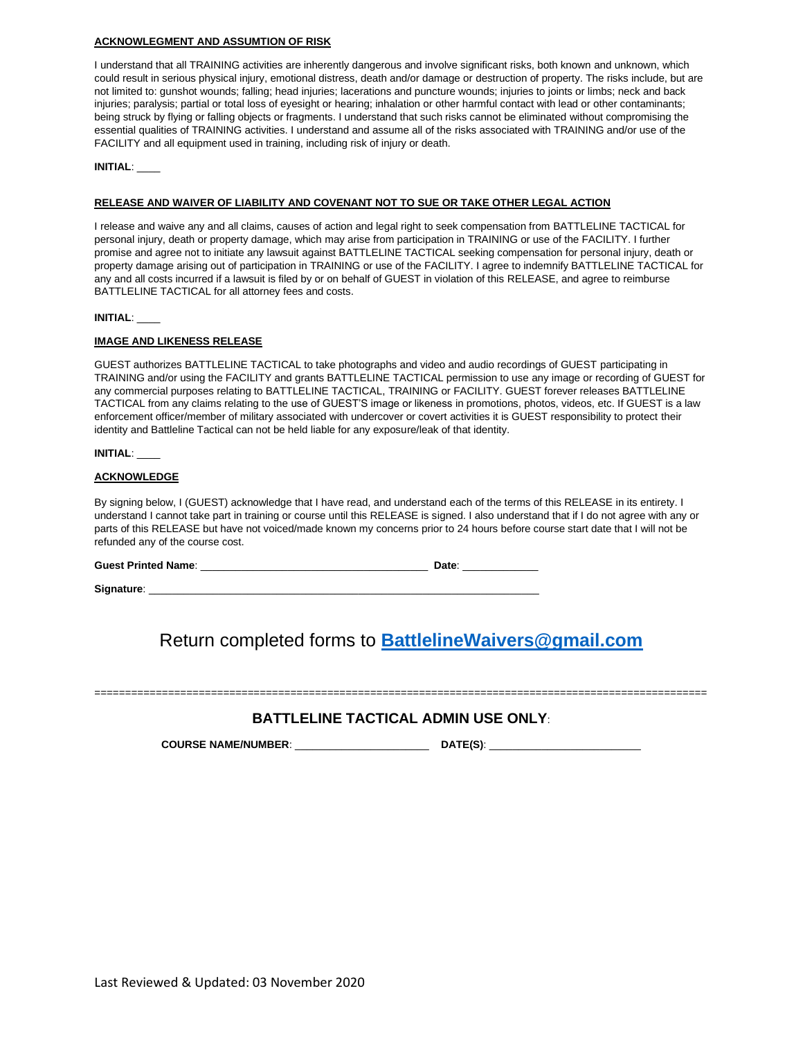#### **ACKNOWLEGMENT AND ASSUMTION OF RISK**

I understand that all TRAINING activities are inherently dangerous and involve significant risks, both known and unknown, which could result in serious physical injury, emotional distress, death and/or damage or destruction of property. The risks include, but are not limited to: gunshot wounds; falling; head injuries; lacerations and puncture wounds; injuries to joints or limbs; neck and back injuries; paralysis; partial or total loss of eyesight or hearing; inhalation or other harmful contact with lead or other contaminants; being struck by flying or falling objects or fragments. I understand that such risks cannot be eliminated without compromising the essential qualities of TRAINING activities. I understand and assume all of the risks associated with TRAINING and/or use of the FACILITY and all equipment used in training, including risk of injury or death.

**INITIAL**: \_\_\_\_

#### **RELEASE AND WAIVER OF LIABILITY AND COVENANT NOT TO SUE OR TAKE OTHER LEGAL ACTION**

I release and waive any and all claims, causes of action and legal right to seek compensation from BATTLELINE TACTICAL for personal injury, death or property damage, which may arise from participation in TRAINING or use of the FACILITY. I further promise and agree not to initiate any lawsuit against BATTLELINE TACTICAL seeking compensation for personal injury, death or property damage arising out of participation in TRAINING or use of the FACILITY. I agree to indemnify BATTLELINE TACTICAL for any and all costs incurred if a lawsuit is filed by or on behalf of GUEST in violation of this RELEASE, and agree to reimburse BATTLELINE TACTICAL for all attorney fees and costs.

#### **INITIAL**: \_\_\_\_

#### **IMAGE AND LIKENESS RELEASE**

GUEST authorizes BATTLELINE TACTICAL to take photographs and video and audio recordings of GUEST participating in TRAINING and/or using the FACILITY and grants BATTLELINE TACTICAL permission to use any image or recording of GUEST for any commercial purposes relating to BATTLELINE TACTICAL, TRAINING or FACILITY. GUEST forever releases BATTLELINE TACTICAL from any claims relating to the use of GUEST'S image or likeness in promotions, photos, videos, etc. If GUEST is a law enforcement officer/member of military associated with undercover or covert activities it is GUEST responsibility to protect their identity and Battleline Tactical can not be held liable for any exposure/leak of that identity.

**INITIAL**: \_\_\_\_

#### **ACKNOWLEDGE**

By signing below, I (GUEST) acknowledge that I have read, and understand each of the terms of this RELEASE in its entirety. I understand I cannot take part in training or course until this RELEASE is signed. I also understand that if I do not agree with any or parts of this RELEASE but have not voiced/made known my concerns prior to 24 hours before course start date that I will not be refunded any of the course cost.

**Guest Printed Name**: \_\_\_\_\_\_\_\_\_\_\_\_\_\_\_\_\_\_\_\_\_\_\_\_\_\_\_\_\_\_\_\_\_\_\_\_\_\_\_ **Date**: \_\_\_\_\_\_\_\_\_\_\_\_\_

Signature:

Return completed forms to **[BattlelineWaivers@gmail.com](mailto:BattlelineWaivers@gmail.com)**

====================================================================================================

### **BATTLELINE TACTICAL ADMIN USE ONLY**:

**COURSE NAME/NUMBER**: \_\_\_\_\_\_\_\_\_\_\_\_\_\_\_\_\_\_\_\_\_\_\_ **DATE(S)**: \_\_\_\_\_\_\_\_\_\_\_\_\_\_\_\_\_\_\_\_\_\_\_\_\_\_